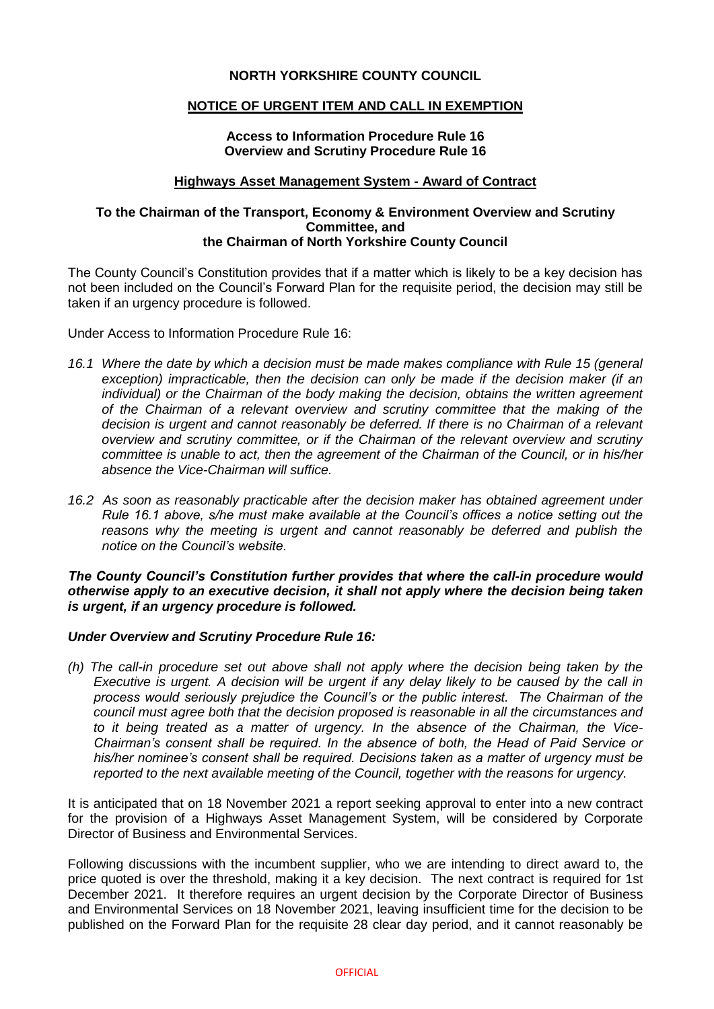# **NORTH YORKSHIRE COUNTY COUNCIL**

# **NOTICE OF URGENT ITEM AND CALL IN EXEMPTION**

### **Access to Information Procedure Rule 16 Overview and Scrutiny Procedure Rule 16**

#### **Highways Asset Management System - Award of Contract**

### **To the Chairman of the Transport, Economy & Environment Overview and Scrutiny Committee, and the Chairman of North Yorkshire County Council**

The County Council's Constitution provides that if a matter which is likely to be a key decision has not been included on the Council's Forward Plan for the requisite period, the decision may still be taken if an urgency procedure is followed.

Under Access to Information Procedure Rule 16:

- *16.1 Where the date by which a decision must be made makes compliance with Rule 15 (general exception) impracticable, then the decision can only be made if the decision maker (if an individual) or the Chairman of the body making the decision, obtains the written agreement of the Chairman of a relevant overview and scrutiny committee that the making of the decision is urgent and cannot reasonably be deferred. If there is no Chairman of a relevant overview and scrutiny committee, or if the Chairman of the relevant overview and scrutiny committee is unable to act, then the agreement of the Chairman of the Council, or in his/her absence the Vice-Chairman will suffice.*
- *16.2 As soon as reasonably practicable after the decision maker has obtained agreement under Rule 16.1 above, s/he must make available at the Council's offices a notice setting out the*  reasons why the meeting is urgent and cannot reasonably be deferred and publish the *notice on the Council's website.*

### *The County Council's Constitution further provides that where the call-in procedure would otherwise apply to an executive decision, it shall not apply where the decision being taken is urgent, if an urgency procedure is followed.*

### *Under Overview and Scrutiny Procedure Rule 16:*

*(h) The call-in procedure set out above shall not apply where the decision being taken by the Executive is urgent. A decision will be urgent if any delay likely to be caused by the call in process would seriously prejudice the Council's or the public interest. The Chairman of the council must agree both that the decision proposed is reasonable in all the circumstances and to it being treated as a matter of urgency. In the absence of the Chairman, the Vice-Chairman's consent shall be required. In the absence of both, the Head of Paid Service or his/her nominee's consent shall be required. Decisions taken as a matter of urgency must be reported to the next available meeting of the Council, together with the reasons for urgency.*

It is anticipated that on 18 November 2021 a report seeking approval to enter into a new contract for the provision of a Highways Asset Management System, will be considered by Corporate Director of Business and Environmental Services.

Following discussions with the incumbent supplier, who we are intending to direct award to, the price quoted is over the threshold, making it a key decision. The next contract is required for 1st December 2021. It therefore requires an urgent decision by the Corporate Director of Business and Environmental Services on 18 November 2021, leaving insufficient time for the decision to be published on the Forward Plan for the requisite 28 clear day period, and it cannot reasonably be